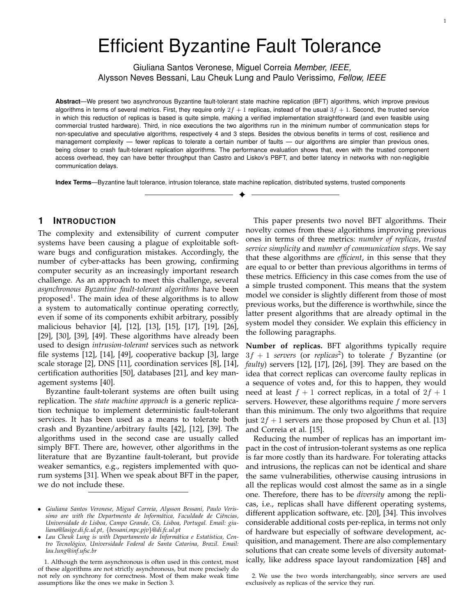# Efficient Byzantine Fault Tolerance

Giuliana Santos Veronese, Miguel Correia *Member, IEEE,* Alysson Neves Bessani, Lau Cheuk Lung and Paulo Verissimo, *Fellow, IEEE*

**Abstract**—We present two asynchronous Byzantine fault-tolerant state machine replication (BFT) algorithms, which improve previous algorithms in terms of several metrics. First, they require only  $2f + 1$  replicas, instead of the usual  $3f + 1$ . Second, the trusted service in which this reduction of replicas is based is quite simple, making a verified implementation straightforward (and even feasible using commercial trusted hardware). Third, in nice executions the two algorithms run in the minimum number of communication steps for non-speculative and speculative algorithms, respectively 4 and 3 steps. Besides the obvious benefits in terms of cost, resilience and management complexity — fewer replicas to tolerate a certain number of faults — our algorithms are simpler than previous ones, being closer to crash fault-tolerant replication algorithms. The performance evaluation shows that, even with the trusted component access overhead, they can have better throughput than Castro and Liskov's PBFT, and better latency in networks with non-negligible communication delays.

✦

**Index Terms**—Byzantine fault tolerance, intrusion tolerance, state machine replication, distributed systems, trusted components

## **1 INTRODUCTION**

The complexity and extensibility of current computer systems have been causing a plague of exploitable software bugs and configuration mistakes. Accordingly, the number of cyber-attacks has been growing, confirming computer security as an increasingly important research challenge. As an approach to meet this challenge, several *asynchronous Byzantine fault-tolerant algorithms* have been proposed<sup>1</sup>. The main idea of these algorithms is to allow a system to automatically continue operating correctly, even if some of its components exhibit arbitrary, possibly malicious behavior [4], [12], [13], [15], [17], [19], [26], [29], [30], [39], [49]. These algorithms have already been used to design *intrusion-tolerant* services such as network file systems [12], [14], [49], cooperative backup [3], large scale storage [2], DNS [11], coordination services [8], [14], certification authorities [50], databases [21], and key management systems [40].

Byzantine fault-tolerant systems are often built using replication. The *state machine approach* is a generic replication technique to implement deterministic fault-tolerant services. It has been used as a means to tolerate both crash and Byzantine/arbitrary faults [42], [12], [39]. The algorithms used in the second case are usually called simply BFT. There are, however, other algorithms in the literature that are Byzantine fault-tolerant, but provide weaker semantics, e.g., registers implemented with quorum systems [31]. When we speak about BFT in the paper, we do not include these.

This paper presents two novel BFT algorithms. Their novelty comes from these algorithms improving previous ones in terms of three metrics: *number of replicas*, *trusted service simplicity* and *number of communication steps*. We say that these algorithms are *efficient*, in this sense that they are equal to or better than previous algorithms in terms of these metrics. Efficiency in this case comes from the use of a simple trusted component. This means that the system model we consider is slightly different from those of most previous works, but the difference is worthwhile, since the latter present algorithms that are already optimal in the system model they consider. We explain this efficiency in the following paragraphs.

**Number of replicas.** BFT algorithms typically require 3f + 1 *servers* (or *replicas*<sup>2</sup> ) to tolerate f Byzantine (or *faulty*) servers [12], [17], [26], [39]. They are based on the idea that correct replicas can overcome faulty replicas in a sequence of votes and, for this to happen, they would need at least  $f + 1$  correct replicas, in a total of  $2f + 1$ servers. However, these algorithms require  $f$  more servers than this minimum. The only two algorithms that require just  $2f + 1$  servers are those proposed by Chun et al. [13] and Correia et al. [15].

Reducing the number of replicas has an important impact in the cost of intrusion-tolerant systems as one replica is far more costly than its hardware. For tolerating attacks and intrusions, the replicas can not be identical and share the same vulnerabilities, otherwise causing intrusions in all the replicas would cost almost the same as in a single one. Therefore, there has to be *diversity* among the replicas, i.e., replicas shall have different operating systems, different application software, etc. [20], [34]. This involves considerable additional costs per-replica, in terms not only of hardware but especially of software development, acquisition, and management. There are also complementary solutions that can create some levels of diversity automatically, like address space layout randomization [48] and

2. We use the two words interchangeably, since servers are used exclusively as replicas of the service they run.

<sup>•</sup> *Giuliana Santos Veronese, Miguel Correia, Alysson Bessani, Paulo Veris*simo are with the Departmento de Informática, Faculdade de Ciências, *Universidade de Lisboa, Campo Grande, C6, Lisboa, Portugal. Email: giuliana@lasige.di.fc.ul.pt,* {*bessani,mpc,pjv*}*@di.fc.ul.pt*

**<sup>·</sup>** Lau Cheuk Lung is with Departamento de Informática e Estatística, Cen*tro Tecnol´ogico, Universidade Federal de Santa Catarina, Brazil. Email: lau.lung@inf.ufsc.br*

<sup>1.</sup> Although the term asynchronous is often used in this context, most of these algorithms are not strictly asynchronous, but more precisely do not rely on synchrony for correctness. Most of them make weak time assumptions like the ones we make in Section 3.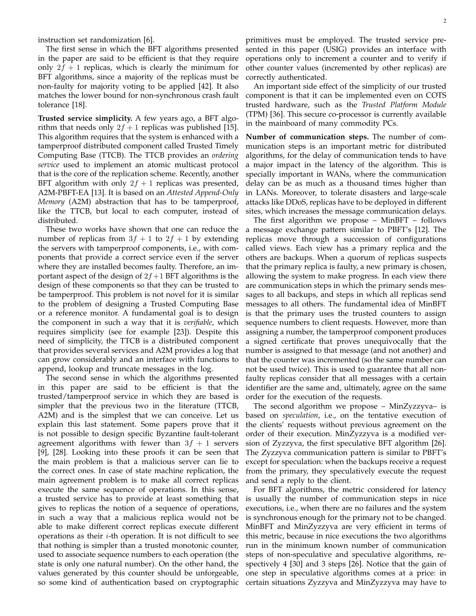instruction set randomization [6].

The first sense in which the BFT algorithms presented in the paper are said to be efficient is that they require only  $2f + 1$  replicas, which is clearly the minimum for BFT algorithms, since a majority of the replicas must be non-faulty for majority voting to be applied [42]. It also matches the lower bound for non-synchronous crash fault tolerance [18].

**Trusted service simplicity.** A few years ago, a BFT algorithm that needs only  $2f + 1$  replicas was published [15]. This algorithm requires that the system is enhanced with a tamperproof distributed component called Trusted Timely Computing Base (TTCB). The TTCB provides an *ordering service* used to implement an atomic multicast protocol that is the core of the replication scheme. Recently, another BFT algorithm with only  $2f + 1$  replicas was presented, A2M-PBFT-EA [13]. It is based on an *Attested Append-Only Memory* (A2M) abstraction that has to be tamperproof, like the TTCB, but local to each computer, instead of distributed.

These two works have shown that one can reduce the number of replicas from  $3f + 1$  to  $2f + 1$  by extending the servers with tamperproof components, i.e., with components that provide a correct service even if the server where they are installed becomes faulty. Therefore, an important aspect of the design of  $2f+1$  BFT algorithms is the design of these components so that they can be trusted to be tamperproof. This problem is not novel for it is similar to the problem of designing a Trusted Computing Base or a reference monitor. A fundamental goal is to design the component in such a way that it is *verifiable*, which requires simplicity (see for example [23]). Despite this need of simplicity, the TTCB is a distributed component that provides several services and A2M provides a log that can grow considerably and an interface with functions to append, lookup and truncate messages in the log.

The second sense in which the algorithms presented in this paper are said to be efficient is that the trusted/tamperproof service in which they are based is simpler that the previous two in the literature (TTCB, A2M) and is the simplest that we can conceive. Let us explain this last statement. Some papers prove that it is not possible to design specific Byzantine fault-tolerant agreement algorithms with fewer than  $3f + 1$  servers [9], [28]. Looking into these proofs it can be seen that the main problem is that a malicious server can lie to the correct ones. In case of state machine replication, the main agreement problem is to make all correct replicas execute the same sequence of operations. In this sense, a trusted service has to provide at least something that gives to replicas the notion of a sequence of operations, in such a way that a malicious replica would not be able to make different correct replicas execute different operations as their  $i$ -th operation. It is not difficult to see that nothing is simpler than a trusted monotonic counter, used to associate sequence numbers to each operation (the state is only one natural number). On the other hand, the values generated by this counter should be unforgeable, so some kind of authentication based on cryptographic primitives must be employed. The trusted service presented in this paper (USIG) provides an interface with operations only to increment a counter and to verify if other counter values (incremented by other replicas) are correctly authenticated.

An important side effect of the simplicity of our trusted component is that it can be implemented even on COTS trusted hardware, such as the *Trusted Platform Module* (TPM) [36]. This secure co-processor is currently available in the mainboard of many commodity PCs.

**Number of communication steps.** The number of communication steps is an important metric for distributed algorithms, for the delay of communication tends to have a major impact in the latency of the algorithm. This is specially important in WANs, where the communication delay can be as much as a thousand times higher than in LANs. Moreover, to tolerate disasters and large-scale attacks like DDoS, replicas have to be deployed in different sites, which increases the message communication delays.

The first algorithm we propose – MinBFT – follows a message exchange pattern similar to PBFT's [12]. The replicas move through a succession of configurations called views. Each view has a primary replica and the others are backups. When a quorum of replicas suspects that the primary replica is faulty, a new primary is chosen, allowing the system to make progress. In each view there are communication steps in which the primary sends messages to all backups, and steps in which all replicas send messages to all others. The fundamental idea of MinBFT is that the primary uses the trusted counters to assign sequence numbers to client requests. However, more than assigning a number, the tamperproof component produces a signed certificate that proves unequivocally that the number is assigned to that message (and not another) and that the counter was incremented (so the same number can not be used twice). This is used to guarantee that all nonfaulty replicas consider that all messages with a certain identifier are the same and, ultimately, agree on the same order for the execution of the requests.

The second algorithm we propose – MinZyzzyva– is based on *speculation*, i.e., on the tentative execution of the clients' requests without previous agreement on the order of their execution. MinZyzzyva is a modified version of Zyzzyva, the first speculative BFT algorithm [26]. The Zyzzyva communication pattern is similar to PBFT's except for speculation: when the backups receive a request from the primary, they speculatively execute the request and send a reply to the client.

For BFT algorithms, the metric considered for latency is usually the number of communication steps in nice executions, i.e., when there are no failures and the system is synchronous enough for the primary not to be changed. MinBFT and MinZyzzyva are very efficient in terms of this metric, because in nice executions the two algorithms run in the minimum known number of communication steps of non-speculative and speculative algorithms, respectively 4 [30] and 3 steps [26]. Notice that the gain of one step in speculative algorithms comes at a price: in certain situations Zyzzyva and MinZyzzyva may have to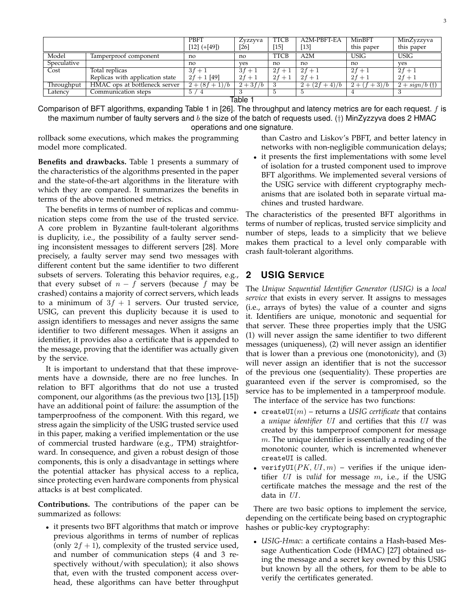|             |                                 | PBFT             | Zvzzvva    | <b>TTCB</b> | A <sub>2</sub> M-PBFT-EA | MinBFT      | MinZyzzyva       |
|-------------|---------------------------------|------------------|------------|-------------|--------------------------|-------------|------------------|
|             |                                 | $[12] (+ [49])$  | $[26]$     | $[15]$      | $[13]$                   | this paper  | this paper       |
| Model       | Tamperproof component           | no               | no         | <b>TTCB</b> | A2M                      | <b>USIG</b> | <b>USIG</b>      |
| Speculative |                                 | no               | ves        | no          | no                       | no          | ves              |
| Cost        | Total replicas                  | $3f + 1$         | $3f+1$     | 2f          | $2f + 1$                 | $2f + 1$    | $2f + 1$         |
|             | Replicas with application state | [49]<br>$2f + 1$ | $2f + 1$   | 2f          | $2f + 1$                 | $2f + 1$    | $2f + 1$         |
| Throughput  | HMAC ops at bottleneck server   | $2 + (8f + 1)$   | $2 + 3f/b$ |             | 2f<br>$+4)/b$            | $+3)$       | $2 + sign/b$ (†) |
| Latencv     | Communication steps             | 5 / 4            |            |             |                          |             |                  |
| Гаblе.      |                                 |                  |            |             |                          |             |                  |

Comparison of BFT algorithms, expanding Table 1 in [26]. The throughput and latency metrics are for each request.  $f$  is the maximum number of faulty servers and b the size of the batch of requests used. (†) MinZyzzyva does 2 HMAC operations and one signature.

rollback some executions, which makes the programming model more complicated.

**Benefits and drawbacks.** Table 1 presents a summary of the characteristics of the algorithms presented in the paper and the state-of-the-art algorithms in the literature with which they are compared. It summarizes the benefits in terms of the above mentioned metrics.

The benefits in terms of number of replicas and communication steps come from the use of the trusted service. A core problem in Byzantine fault-tolerant algorithms is duplicity, i.e., the possibility of a faulty server sending inconsistent messages to different servers [28]. More precisely, a faulty server may send two messages with different content but the same identifier to two different subsets of servers. Tolerating this behavior requires, e.g., that every subset of  $n - f$  servers (because f may be crashed) contains a majority of correct servers, which leads to a minimum of  $3f + 1$  servers. Our trusted service, USIG, can prevent this duplicity because it is used to assign identifiers to messages and never assigns the same identifier to two different messages. When it assigns an identifier, it provides also a certificate that is appended to the message, proving that the identifier was actually given by the service.

It is important to understand that that these improvements have a downside, there are no free lunches. In relation to BFT algorithms that do not use a trusted component, our algorithms (as the previous two [13], [15]) have an additional point of failure: the assumption of the tamperproofness of the component. With this regard, we stress again the simplicity of the USIG trusted service used in this paper, making a verified implementation or the use of commercial trusted hardware (e.g., TPM) straightforward. In consequence, and given a robust design of those components, this is only a disadvantage in settings where the potential attacker has physical access to a replica, since protecting even hardware components from physical attacks is at best complicated.

**Contributions.** The contributions of the paper can be summarized as follows:

• it presents two BFT algorithms that match or improve previous algorithms in terms of number of replicas (only  $2f + 1$ ), complexity of the trusted service used, and number of communication steps (4 and 3 respectively without/with speculation); it also shows that, even with the trusted component access overhead, these algorithms can have better throughput

than Castro and Liskov's PBFT, and better latency in networks with non-negligible communication delays;

• it presents the first implementations with some level of isolation for a trusted component used to improve BFT algorithms. We implemented several versions of the USIG service with different cryptography mechanisms that are isolated both in separate virtual machines and trusted hardware.

The characteristics of the presented BFT algorithms in terms of number of replicas, trusted service simplicity and number of steps, leads to a simplicity that we believe makes them practical to a level only comparable with crash fault-tolerant algorithms.

# **2 USIG SERVICE**

The *Unique Sequential Identifier Generator (USIG)* is a *local service* that exists in every server. It assigns to messages (i.e., arrays of bytes) the value of a counter and signs it. Identifiers are unique, monotonic and sequential for that server. These three properties imply that the USIG (1) will never assign the same identifier to two different messages (uniqueness), (2) will never assign an identifier that is lower than a previous one (monotonicity), and (3) will never assign an identifier that is not the successor of the previous one (sequentiality). These properties are guaranteed even if the server is compromised, so the service has to be implemented in a tamperproof module.

The interface of the service has two functions:

- createUI $(m)$  returns a USIG certificate that contains a *unique identifier* UI and certifies that this UI was created by this tamperproof component for message  $m$ . The unique identifier is essentially a reading of the monotonic counter, which is incremented whenever createUI is called.
- verify  $UI(PK, UI, m)$  verifies if the unique identifier UI is *valid* for message m, i.e., if the USIG certificate matches the message and the rest of the data in UI.

There are two basic options to implement the service, depending on the certificate being based on cryptographic hashes or public-key cryptography:

• *USIG-Hmac*: a certificate contains a Hash-based Message Authentication Code (HMAC) [27] obtained using the message and a secret key owned by this USIG but known by all the others, for them to be able to verify the certificates generated.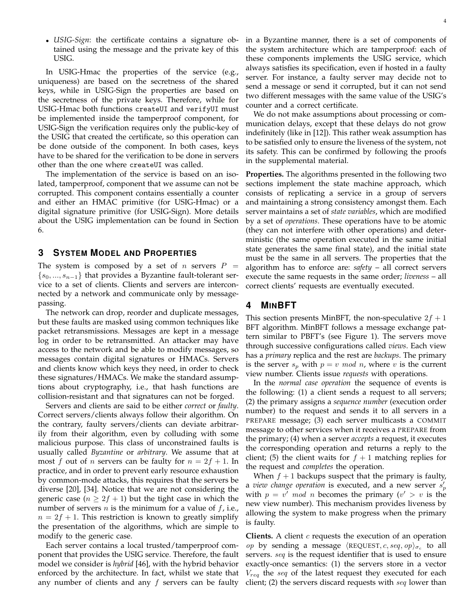• *USIG-Sign*: the certificate contains a signature obtained using the message and the private key of this USIG.

In USIG-Hmac the properties of the service (e.g., uniqueness) are based on the secretness of the shared keys, while in USIG-Sign the properties are based on the secretness of the private keys. Therefore, while for USIG-Hmac both functions createUI and verifyUI must be implemented inside the tamperproof component, for USIG-Sign the verification requires only the public-key of the USIG that created the certificate, so this operation can be done outside of the component. In both cases, keys have to be shared for the verification to be done in servers other than the one where createUI was called.

The implementation of the service is based on an isolated, tamperproof, component that we assume can not be corrupted. This component contains essentially a counter and either an HMAC primitive (for USIG-Hmac) or a digital signature primitive (for USIG-Sign). More details about the USIG implementation can be found in Section 6.

## **3 SYSTEM MODEL AND PROPERTIES**

The system is composed by a set of *n* servers  $P =$  ${s_0, ..., s_{n-1}}$  that provides a Byzantine fault-tolerant service to a set of clients. Clients and servers are interconnected by a network and communicate only by messagepassing.

The network can drop, reorder and duplicate messages, but these faults are masked using common techniques like packet retransmissions. Messages are kept in a message log in order to be retransmitted. An attacker may have access to the network and be able to modify messages, so messages contain digital signatures or HMACs. Servers and clients know which keys they need, in order to check these signatures/HMACs. We make the standard assumptions about cryptography, i.e., that hash functions are collision-resistant and that signatures can not be forged.

Servers and clients are said to be either *correct* or *faulty*. Correct servers/clients always follow their algorithm. On the contrary, faulty servers/clients can deviate arbitrarily from their algorithm, even by colluding with some malicious purpose. This class of unconstrained faults is usually called *Byzantine* or *arbitrary*. We assume that at most f out of *n* servers can be faulty for  $n = 2f + 1$ . In practice, and in order to prevent early resource exhaustion by common-mode attacks, this requires that the servers be diverse [20], [34]. Notice that we are not considering the generic case ( $n \geq 2f + 1$ ) but the tight case in which the number of servers *n* is the minimum for a value of  $f$ , i.e.,  $n = 2f + 1$ . This restriction is known to greatly simplify the presentation of the algorithms, which are simple to modify to the generic case.

Each server contains a local trusted/tamperproof component that provides the USIG service. Therefore, the fault model we consider is *hybrid* [46], with the hybrid behavior enforced by the architecture. In fact, whilst we state that any number of clients and any  $f$  servers can be faulty in a Byzantine manner, there is a set of components of the system architecture which are tamperproof: each of these components implements the USIG service, which always satisfies its specification, even if hosted in a faulty server. For instance, a faulty server may decide not to send a message or send it corrupted, but it can not send two different messages with the same value of the USIG's counter and a correct certificate.

We do not make assumptions about processing or communication delays, except that these delays do not grow indefinitely (like in [12]). This rather weak assumption has to be satisfied only to ensure the liveness of the system, not its safety. This can be confirmed by following the proofs in the supplemental material.

**Properties.** The algorithms presented in the following two sections implement the state machine approach, which consists of replicating a service in a group of servers and maintaining a strong consistency amongst them. Each server maintains a set of *state variables*, which are modified by a set of *operations*. These operations have to be atomic (they can not interfere with other operations) and deterministic (the same operation executed in the same initial state generates the same final state), and the initial state must be the same in all servers. The properties that the algorithm has to enforce are: *safety* – all correct servers execute the same requests in the same order; *liveness* – all correct clients' requests are eventually executed.

## **4 MINBFT**

This section presents MinBFT, the non-speculative  $2f + 1$ BFT algorithm. MinBFT follows a message exchange pattern similar to PBFT's (see Figure 1). The servers move through successive configurations called *views*. Each view has a *primary* replica and the rest are *backups*. The primary is the server  $s_p$  with  $p = v \mod n$ , where v is the current view number. Clients issue *requests* with operations.

In the *normal case operation* the sequence of events is the following: (1) a client sends a request to all servers; (2) the primary assigns a *sequence number* (execution order number) to the request and sends it to all servers in a PREPARE message; (3) each server multicasts a COMMIT message to other services when it receives a PREPARE from the primary; (4) when a server *accepts* a request, it executes the corresponding operation and returns a reply to the client; (5) the client waits for  $f + 1$  matching replies for the request and *completes* the operation.

When  $f + 1$  backups suspect that the primary is faulty, a *view change operation* is executed, and a new server  $s_p'$ with  $p = v' \mod n$  becomes the primary  $(v' > v$  is the new view number). This mechanism provides liveness by allowing the system to make progress when the primary is faulty.

**Clients.** A client  $c$  requests the execution of an operation op by sending a message  $\langle$ REQUEST, c, seq, op $\rangle_{\sigma_c}$  to all servers. *seq* is the request identifier that is used to ensure exactly-once semantics: (1) the servers store in a vector  $V_{req}$  the seq of the latest request they executed for each client; (2) the servers discard requests with  $seq$  lower than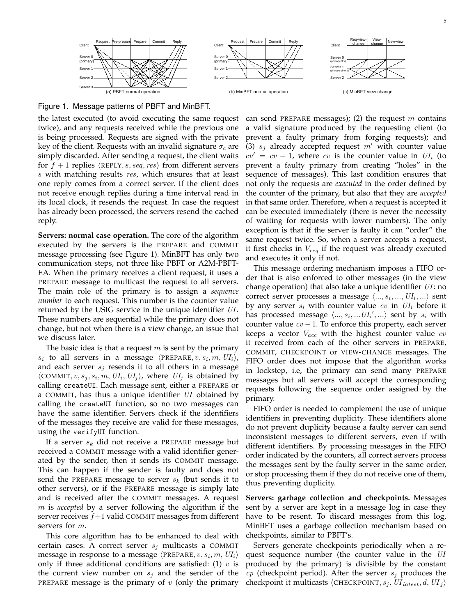

Figure 1. Message patterns of PBFT and MinBFT.

twice), and any requests received while the previous one is being processed. Requests are signed with the private key of the client. Requests with an invalid signature  $\sigma_c$  are  $\mathbf{S}$   $\mathbf{S}$   $\mathbf{S}$   $\mathbf{S}$   $\mathbf{S}$   $\mathbf{S}$   $\mathbf{S}$   $\mathbf{S}$   $\mathbf{S}$   $\mathbf{S}$   $\mathbf{S}$   $\mathbf{S}$   $\mathbf{S}$   $\mathbf{S}$   $\mathbf{S}$   $\mathbf{S}$   $\mathbf{S}$   $\mathbf{S}$   $\mathbf{S}$   $\mathbf{S}$   $\mathbf{S}$   $\mathbf{S}$   $\mathbf{S}$   $\mathbf{S}$   $\mathbf{$ for  $f + 1$  replies  $\langle$ REPLY, s, seq, res $\rangle$  from different servers s with matching results res, which ensures that at least sequ simply discarded. After sending a request, the client waits not receive enough replies during a time interval read in the latest executed (to avoid executing the same request one reply comes from a correct server. If the client does its local clock, it resends the request. In case the request has already been processed, the servers resend the cached reply.

**Servers: normal case operation.** The core of the algorithm executed by the servers is the PREPARE and COMMIT Server 1986 - 1986 - 1986 - 1986 - 1986 - 1986 - 1986 - 1986 - 1986 - 1986 - 1986 - 1986 - 1986 - 1986 - 1986 communication steps, not three like PBFT or A2M-PBFT-EA. When the primary receives a client request, it uses a message processing (see Figure 1). MinBFT has only two PREPARE message to multicast the request to all servers. The main role of the primary is to assign a *sequence number* to each request. This number is the counter value returned by the USIG service in the unique identifier UI. These numbers are sequential while the primary does not change, but not when there is a view change, an issue that we discuss later.

The basic idea is that a request  $m$  is sent by the primary  $s_i$  to all servers in a message  $\langle$ PREPARE,  $v, s_i, m, UI_i \rangle$ , and each server  $s_i$  resends it to all others in a message  $\langle$  COMMIT,  $v, s_j, s_i, m, UI_i, UI_j \rangle$ , where  $UI_j$  is obtained by calling createUI. Each message sent, either a PREPARE or a COMMIT, has thus a unique identifier  $UI$  obtained by calling the createUI function, so no two messages can have the same identifier. Servers check if the identifiers of the messages they receive are valid for these messages, using the verifyUI function.

If a server  $s_k$  did not receive a PREPARE message but received a COMMIT message with a valid identifier generated by the sender, then it sends its COMMIT message. This can happen if the sender is faulty and does not send the PREPARE message to server  $s_k$  (but sends it to other servers), or if the PREPARE message is simply late and is received after the COMMIT messages. A request m is *accepted* by a server following the algorithm if the server receives  $f+1$  valid COMMIT messages from different servers for m.

This core algorithm has to be enhanced to deal with certain cases. A correct server  $s_i$  multicasts a COMMIT message in response to a message  $\langle \texttt{PREPARE}, v, s_i, m, \textit{UI}_i \rangle$ only if three additional conditions are satisfied: (1)  $v$  is the current view number on  $s_j$  and the sender of the PREPARE message is the primary of  $v$  (only the primary

e a valid signature produced by the requesting client (to  $cv' = cv - 1$ , where cv is the counter value in  $UI_i$  (to a vand signature produced by the requesting energy (to<br>prevent a faulty primary from forging requests); and can send PREPARE messages); (2) the request  $m$  contains (3)  $s_j$  already accepted request m' with counter value prevent a faulty primary from creating "holes" in the sequence of messages). This last condition ensures that not only the requests are *executed* in the order defined by the counter of the primary, but also that they are *accepted* in that same order. Therefore, when a request is accepted it can be executed immediately (there is never the necessity of waiting for requests with lower numbers). The only exception is that if the server is faulty it can "order" the same request twice. So, when a server accepts a request, it first checks in  $V_{req}$  if the request was already executed and executes it only if not.

This message ordering mechanism imposes a FIFO order that is also enforced to other messages (in the view change operation) that also take a unique identifier UI: no correct server processes a message  $\langle ..., s_i, ..., U_i, ...\rangle$  sent by any server  $s_i$  with counter value cv in  $UI_i$  before it has processed message  $\langle ..., s_i, ... U I_i', ...\rangle$  sent by  $s_i$  with counter value  $cv - 1$ . To enforce this property, each server keeps a vector  $V_{acc}$  with the highest counter value  $cv$ it received from each of the other servers in PREPARE, COMMIT, CHECKPOINT or VIEW-CHANGE messages. The FIFO order does not impose that the algorithm works in lockstep, i.e, the primary can send many PREPARE messages but all servers will accept the corresponding requests following the sequence order assigned by the primary.

FIFO order is needed to complement the use of unique identifiers in preventing duplicity. These identifiers alone do not prevent duplicity because a faulty server can send inconsistent messages to different servers, even if with different identifiers. By processing messages in the FIFO order indicated by the counters, all correct servers process the messages sent by the faulty server in the same order, or stop processing them if they do not receive one of them, thus preventing duplicity.

**Servers: garbage collection and checkpoints.** Messages sent by a server are kept in a message log in case they have to be resent. To discard messages from this log, MinBFT uses a garbage collection mechanism based on checkpoints, similar to PBFT's.

Servers generate checkpoints periodically when a request sequence number (the counter value in the UI produced by the primary) is divisible by the constant  $cp$  (checkpoint period). After the server  $s_j$  produces the checkpoint it multicasts  $\langle$ CHECKPOINT,  $s_i$ ,  $UI_{latest}$ ,  $d$ ,  $UI_i$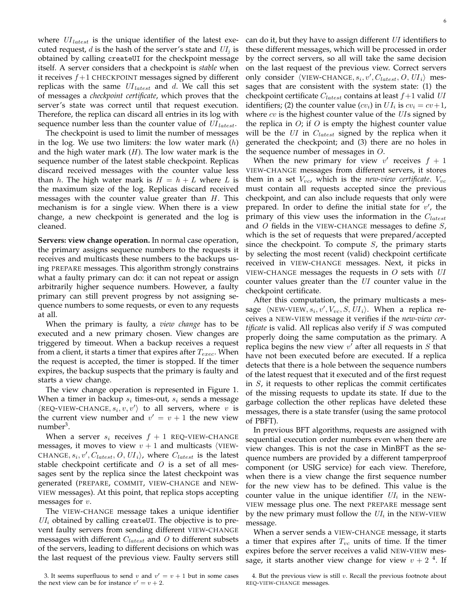where  $UI_{latest}$  is the unique identifier of the latest executed request, d is the hash of the server's state and  $UI<sub>j</sub>$  is obtained by calling createUI for the checkpoint message itself. A server considers that a checkpoint is *stable* when it receives  $f+1$  CHECKPOINT messages signed by different replicas with the same  $UI_{\text{lates}}$  and d. We call this set of messages a *checkpoint certificate*, which proves that the server's state was correct until that request execution. Therefore, the replica can discard all entries in its log with sequence number less than the counter value of  $UI_{\text{lates}}$ .

The checkpoint is used to limit the number of messages in the log. We use two limiters: the low water mark  $(h)$ and the high water mark  $(H)$ . The low water mark is the sequence number of the latest stable checkpoint. Replicas discard received messages with the counter value less than h. The high water mark is  $H = h + L$  where L is the maximum size of the log. Replicas discard received messages with the counter value greater than H. This mechanism is for a single view. When there is a view change, a new checkpoint is generated and the log is cleaned.

**Servers: view change operation.** In normal case operation, the primary assigns sequence numbers to the requests it receives and multicasts these numbers to the backups using PREPARE messages. This algorithm strongly constrains what a faulty primary can do: it can not repeat or assign arbitrarily higher sequence numbers. However, a faulty primary can still prevent progress by not assigning sequence numbers to some requests, or even to any requests at all.

When the primary is faulty, a *view change* has to be executed and a new primary chosen. View changes are triggered by timeout. When a backup receives a request from a client, it starts a timer that expires after  $T_{exec}$ . When the request is accepted, the timer is stopped. If the timer expires, the backup suspects that the primary is faulty and starts a view change.

The view change operation is represented in Figure 1. When a timer in backup  $s_i$  times-out,  $s_i$  sends a message  $\langle$ REQ-VIEW-CHANGE,  $s_i, v, v' \rangle$  to all servers, where v is the current view number and  $v' = v + 1$  the new view number<sup>3</sup>.

When a server  $s_i$  receives  $f + 1$  REQ-VIEW-CHANGE messages, it moves to view  $v + 1$  and multicasts (VIEW-CHANGE,  $s_i, v', C_{latest}, O, UI_i$ , where  $C_{latest}$  is the latest stable checkpoint certificate and  $\hat{O}$  is a set of all messages sent by the replica since the latest checkpoint was generated (PREPARE, COMMIT, VIEW-CHANGE and NEW-VIEW messages). At this point, that replica stops accepting messages for  $v$ .

The VIEW-CHANGE message takes a unique identifier  $UI_i$  obtained by calling createUI. The objective is to prevent faulty servers from sending different VIEW-CHANGE messages with different  $C_{latest}$  and O to different subsets of the servers, leading to different decisions on which was the last request of the previous view. Faulty servers still

can do it, but they have to assign different UI identifiers to these different messages, which will be processed in order by the correct servers, so all will take the same decision on the last request of the previous view. Correct servers only consider  $\langle$  VIEW-CHANGE,  $s_i, v', C_{lates}, O, UI_i \rangle$  messages that are consistent with the system state: (1) the checkpoint certificate  $C_{latest}$  contains at least  $f+1$  valid UI identifiers; (2) the counter value  $(cv_i)$  in  $UI_i$  is  $cv_i = cv+1$ , where  $cv$  is the highest counter value of the  $UIs$  signed by the replica in  $O$ ; if  $O$  is empty the highest counter value will be the  $UI$  in  $C_{latest}$  signed by the replica when it generated the checkpoint; and (3) there are no holes in the sequence number of messages in O.

When the new primary for view  $v'$  receives  $f + 1$ VIEW-CHANGE messages from different servers, it stores them in a set  $V_{vc}$ , which is the *new-view certificate*.  $V_{vc}$ must contain all requests accepted since the previous checkpoint, and can also include requests that only were prepared. In order to define the initial state for  $v'$ , the primary of this view uses the information in the  $C_{\text{lates}t}$ and  $O$  fields in the VIEW-CHANGE messages to define  $S$ , which is the set of requests that were prepared/accepted since the checkpoint. To compute  $S$ , the primary starts by selecting the most recent (valid) checkpoint certificate received in VIEW-CHANGE messages. Next, it picks in VIEW-CHANGE messages the requests in  $O$  sets with  $UI$ counter values greater than the UI counter value in the checkpoint certificate.

After this computation, the primary multicasts a message  $\langle$ NEW-VIEW,  $s_i, v', V_{vc}, S, \bar{U}I_i \rangle$ . When a replica receives a NEW-VIEW message it verifies if the *new-view certificate* is valid. All replicas also verify if S was computed properly doing the same computation as the primary. A replica begins the new view  $v^{\prime}$  after all requests in  $S$  that have not been executed before are executed. If a replica detects that there is a hole between the sequence numbers of the latest request that it executed and of the first request in S, it requests to other replicas the commit certificates of the missing requests to update its state. If due to the garbage collection the other replicas have deleted these messages, there is a state transfer (using the same protocol of PBFT).

In previous BFT algorithms, requests are assigned with sequential execution order numbers even when there are view changes. This is not the case in MinBFT as the sequence numbers are provided by a different tamperproof component (or USIG service) for each view. Therefore, when there is a view change the first sequence number for the new view has to be defined. This value is the counter value in the unique identifier  $UI_i$  in the NEW-VIEW message plus one. The next PREPARE message sent by the new primary must follow the  $UI_i$  in the NEW-VIEW message.

When a server sends a VIEW-CHANGE message, it starts a timer that expires after  $T_{vc}$  units of time. If the timer expires before the server receives a valid NEW-VIEW message, it starts another view change for view  $v + 2^{-4}$ . If

<sup>3.</sup> It seems superfluous to send v and  $v' = v + 1$  but in some cases the next view can be for instance  $v' = v + 2$ .

<sup>4.</sup> But the previous view is still  $v$ . Recall the previous footnote about REQ-VIEW-CHANGE messages.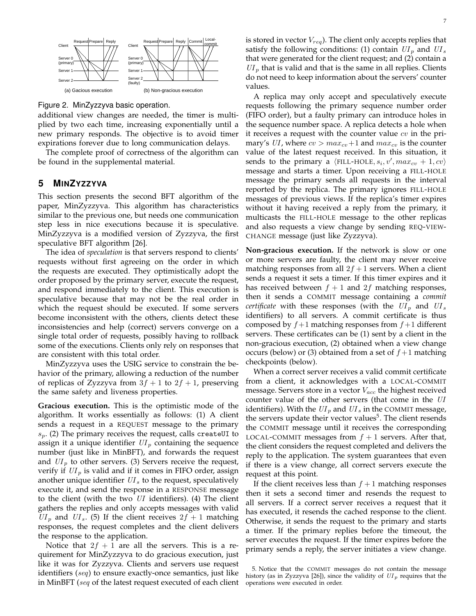

#### Figure 2. MinZyzzyva basic operation.

additional view changes are needed, the timer is multiplied by two each time, increasing exponentially until a new primary responds. The objective is to avoid timer expirations forever due to long communication delays.

The complete proof of correctness of the algorithm can be found in the supplemental material.

## **5 MINZYZZYVA**

This section presents the second BFT algorithm of the paper, MinZyzzyva. This algorithm has characteristics similar to the previous one, but needs one communication step less in nice executions because it is speculative. MinZyzzyva is a modified version of Zyzzyva, the first speculative BFT algorithm [26].

The idea of *speculation* is that servers respond to clients' requests without first agreeing on the order in which the requests are executed. They optimistically adopt the order proposed by the primary server, execute the request, and respond immediately to the client. This execution is speculative because that may not be the real order in which the request should be executed. If some servers become inconsistent with the others, clients detect these inconsistencies and help (correct) servers converge on a single total order of requests, possibly having to rollback some of the executions. Clients only rely on responses that are consistent with this total order.

MinZyzzyva uses the USIG service to constrain the behavior of the primary, allowing a reduction of the number of replicas of Zyzzyva from  $3f + 1$  to  $2f + 1$ , preserving the same safety and liveness properties.

**Gracious execution.** This is the optimistic mode of the algorithm. It works essentially as follows: (1) A client sends a request in a REQUEST message to the primary  $s_p$ . (2) The primary receives the request, calls createUI to assign it a unique identifier  $UI_p$  containing the sequence number (just like in MinBFT), and forwards the request and  $UI<sub>p</sub>$  to other servers. (3) Servers receive the request, verify if  $UI_p$  is valid and if it comes in FIFO order, assign another unique identifier  $UI<sub>s</sub>$  to the request, speculatively execute it, and send the response in a RESPONSE message to the client (with the two UI identifiers). (4) The client gathers the replies and only accepts messages with valid  $UI<sub>p</sub>$  and  $UI<sub>s</sub>$ . (5) If the client receives  $2f + 1$  matching responses, the request completes and the client delivers the response to the application.

Notice that  $2f + 1$  are all the servers. This is a requirement for MinZyzzyva to do gracious execution, just like it was for Zyzzyva. Clients and servers use request identifiers (seq) to ensure exactly-once semantics, just like in MinBFT (seq of the latest request executed of each client 7

is stored in vector  $V_{req}$ ). The client only accepts replies that satisfy the following conditions: (1) contain  $UI_p$  and  $UI_s$ that were generated for the client request; and (2) contain a  $UI<sub>p</sub>$  that is valid and that is the same in all replies. Clients do not need to keep information about the servers' counter values.

A replica may only accept and speculatively execute requests following the primary sequence number order (FIFO order), but a faulty primary can introduce holes in the sequence number space. A replica detects a hole when it receives a request with the counter value  $cv$  in the primary's UI, where  $cv > max_{cv}+1$  and  $max_{cv}$  is the counter value of the latest request received. In this situation, it sends to the primary a  $\langle$ FILL-HOLE,  $s_i$ ,  $v'$ ,  $max_{cv} + 1$ ,  $cv$ message and starts a timer. Upon receiving a FILL-HOLE message the primary sends all requests in the interval reported by the replica. The primary ignores FILL-HOLE messages of previous views. If the replica's timer expires without it having received a reply from the primary, it multicasts the FILL-HOLE message to the other replicas and also requests a view change by sending REQ-VIEW-CHANGE message (just like Zyzzyva).

**Non-gracious execution.** If the network is slow or one or more servers are faulty, the client may never receive matching responses from all  $2f + 1$  servers. When a client sends a request it sets a timer. If this timer expires and it has received between  $f + 1$  and  $2f$  matching responses, then it sends a COMMIT message containing a *commit certificate* with these responses (with the  $UI_p$  and  $UI_s$ identifiers) to all servers. A commit certificate is thus composed by  $f+1$  matching responses from  $f+1$  different servers. These certificates can be (1) sent by a client in the non-gracious execution, (2) obtained when a view change occurs (below) or (3) obtained from a set of  $f+1$  matching checkpoints (below).

When a correct server receives a valid commit certificate from a client, it acknowledges with a LOCAL-COMMIT message. Servers store in a vector  $V_{acc}$  the highest received counter value of the other servers (that come in the UI identifiers). With the  $UI<sub>p</sub>$  and  $UI<sub>s</sub>$  in the COMMIT message, the servers update their vector values<sup>5</sup>. The client resends the COMMIT message until it receives the corresponding LOCAL-COMMIT messages from  $f + 1$  servers. After that, the client considers the request completed and delivers the reply to the application. The system guarantees that even if there is a view change, all correct servers execute the request at this point.

If the client receives less than  $f + 1$  matching responses then it sets a second timer and resends the request to all servers. If a correct server receives a request that it has executed, it resends the cached response to the client. Otherwise, it sends the request to the primary and starts a timer. If the primary replies before the timeout, the server executes the request. If the timer expires before the primary sends a reply, the server initiates a view change.

<sup>5.</sup> Notice that the COMMIT messages do not contain the message history (as in Zyzzyva [26]), since the validity of  $UI_p$  requires that the operations were executed in order.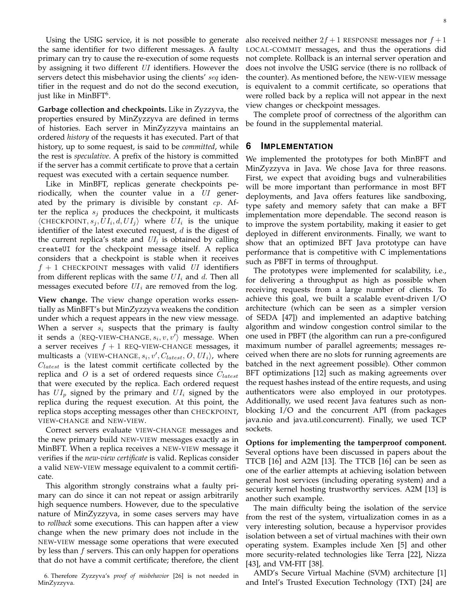Using the USIG service, it is not possible to generate the same identifier for two different messages. A faulty primary can try to cause the re-execution of some requests by assigning it two different UI identifiers. However the servers detect this misbehavior using the clients' seq identifier in the request and do not do the second execution, just like in MinBFT $^6$ .

**Garbage collection and checkpoints.** Like in Zyzzyva, the properties ensured by MinZyzzyva are defined in terms of histories. Each server in MinZyzzyva maintains an ordered *history* of the requests it has executed. Part of that history, up to some request, is said to be *committed*, while the rest is *speculative*. A prefix of the history is committed if the server has a commit certificate to prove that a certain request was executed with a certain sequence number.

Like in MinBFT, replicas generate checkpoints periodically, when the counter value in a UI generated by the primary is divisible by constant  $cp$ . After the replica  $s_i$  produces the checkpoint, it multicasts  $\langle$ CHECKPOINT,  $s_j$ ,  $UI_i$ ,  $d$ ,  $UI_j$  where  $UI_i$  is the unique identifier of the latest executed request,  $d$  is the digest of the current replica's state and  $UI<sub>j</sub>$  is obtained by calling createUI for the checkpoint message itself. A replica considers that a checkpoint is stable when it receives  $f + 1$  CHECKPOINT messages with valid UI identifiers from different replicas with the same  $UI_i$  and d. Then all messages executed before  $UI_i$  are removed from the log.

**View change.** The view change operation works essentially as MinBFT's but MinZyzzyva weakens the condition under which a request appears in the new view message. When a server  $s_i$  suspects that the primary is faulty it sends a  $\langle$ REQ-VIEW-CHANGE,  $s_i, v, v' \rangle$  message. When a server receives  $f + 1$  REQ-VIEW-CHANGE messages, it multicasts a  $\langle$ VIEW-CHANGE,  $s_i, v', C_{latest}, O, UI_i \rangle$ , where  $C_{\text{latest}}$  is the latest commit certificate collected by the replica and O is a set of ordered requests since  $C_{\text{lates}t}$ that were executed by the replica. Each ordered request has  $UI_p$  signed by the primary and  $UI_i$  signed by the replica during the request execution. At this point, the replica stops accepting messages other than CHECKPOINT, VIEW-CHANGE and NEW-VIEW.

Correct servers evaluate VIEW-CHANGE messages and the new primary build NEW-VIEW messages exactly as in MinBFT. When a replica receives a NEW-VIEW message it verifies if the *new-view certificate* is valid. Replicas consider a valid NEW-VIEW message equivalent to a commit certificate.

This algorithm strongly constrains what a faulty primary can do since it can not repeat or assign arbitrarily high sequence numbers. However, due to the speculative nature of MinZyzzyva, in some cases servers may have to *rollback* some executions. This can happen after a view change when the new primary does not include in the NEW-VIEW message some operations that were executed by less than  $f$  servers. This can only happen for operations that do not have a commit certificate; therefore, the client

6. Therefore Zyzzyva's *proof of misbehavior* [26] is not needed in MinZyzzyva.

also received neither  $2f + 1$  RESPONSE messages nor  $f + 1$ LOCAL-COMMIT messages, and thus the operations did not complete. Rollback is an internal server operation and does not involve the USIG service (there is no rollback of the counter). As mentioned before, the NEW-VIEW message is equivalent to a commit certificate, so operations that were rolled back by a replica will not appear in the next view changes or checkpoint messages.

The complete proof of correctness of the algorithm can be found in the supplemental material.

#### **6 IMPLEMENTATION**

We implemented the prototypes for both MinBFT and MinZyzzyva in Java. We chose Java for three reasons. First, we expect that avoiding bugs and vulnerabilities will be more important than performance in most BFT deployments, and Java offers features like sandboxing, type safety and memory safety that can make a BFT implementation more dependable. The second reason is to improve the system portability, making it easier to get deployed in different environments. Finally, we want to show that an optimized BFT Java prototype can have performance that is competitive with C implementations such as PBFT in terms of throughput.

The prototypes were implemented for scalability, i.e., for delivering a throughput as high as possible when receiving requests from a large number of clients. To achieve this goal, we built a scalable event-driven I/O architecture (which can be seen as a simpler version of SEDA [47]) and implemented an adaptive batching algorithm and window congestion control similar to the one used in PBFT (the algorithm can run a pre-configured maximum number of parallel agreements; messages received when there are no slots for running agreements are batched in the next agreement possible). Other common BFT optimizations [12] such as making agreements over the request hashes instead of the entire requests, and using authenticators were also employed in our prototypes. Additionally, we used recent Java features such as nonblocking I/O and the concurrent API (from packages java.nio and java.util.concurrent). Finally, we used TCP sockets.

**Options for implementing the tamperproof component.** Several options have been discussed in papers about the TTCB [16] and A2M [13]. The TTCB [16] can be seen as one of the earlier attempts at achieving isolation between general host services (including operating system) and a security kernel hosting trustworthy services. A2M [13] is another such example.

The main difficulty being the isolation of the service from the rest of the system, virtualization comes in as a very interesting solution, because a hypervisor provides isolation between a set of virtual machines with their own operating system. Examples include Xen [5] and other more security-related technologies like Terra [22], Nizza [43], and VM-FIT [38].

AMD's Secure Virtual Machine (SVM) architecture [1] and Intel's Trusted Execution Technology (TXT) [24] are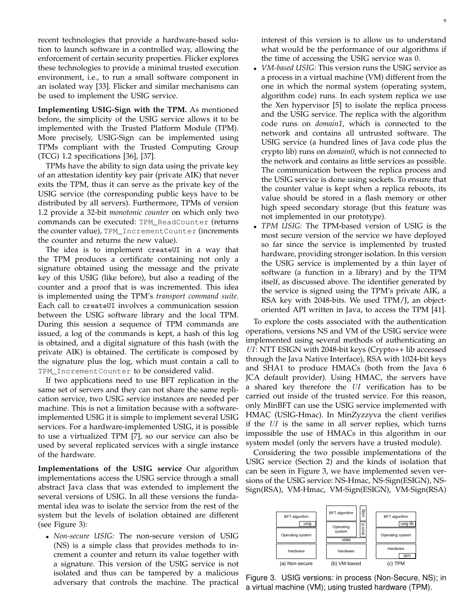recent technologies that provide a hardware-based solution to launch software in a controlled way, allowing the enforcement of certain security properties. Flicker explores these technologies to provide a minimal trusted execution environment, i.e., to run a small software component in an isolated way [33]. Flicker and similar mechanisms can be used to implement the USIG service.

**Implementing USIG-Sign with the TPM.** As mentioned before, the simplicity of the USIG service allows it to be implemented with the Trusted Platform Module (TPM). More precisely, USIG-Sign can be implemented using TPMs compliant with the Trusted Computing Group (TCG) 1.2 specifications [36], [37].

TPMs have the ability to sign data using the private key of an attestation identity key pair (private AIK) that never exits the TPM, thus it can serve as the private key of the USIG service (the corresponding public keys have to be distributed by all servers). Furthermore, TPMs of version 1.2 provide a 32-bit *monotonic counter* on which only two commands can be executed: TPM\_ReadCounter (returns the counter value), TPM\_IncrementCounter (increments the counter and returns the new value).

The idea is to implement createUI in a way that the TPM produces a certificate containing not only a signature obtained using the message and the private key of this USIG (like before), but also a reading of the counter and a proof that is was incremented. This idea is implemented using the TPM's *transport command suite*. Each call to createUI involves a communication session between the USIG software library and the local TPM. During this session a sequence of TPM commands are issued, a log of the commands is kept, a hash of this log is obtained, and a digital signature of this hash (with the private AIK) is obtained. The certificate is composed by the signature plus the log, which must contain a call to TPM\_IncrementCounter to be considered valid.

If two applications need to use BFT replication in the same set of servers and they can not share the same replication service, two USIG service instances are needed per machine. This is not a limitation because with a softwareimplemented USIG it is simple to implement several USIG services. For a hardware-implemented USIG, it is possible <sup>the th</sup> to use a virtualized TPM [7], so our service can also be used by several replicated services with a single instance of the hardware.  $\ddot{\phantom{1}}$ 

**Implementations of the USIG service** Our algorithm implementations access the USIG service through a small abstract Java class that was extended to implement the  $Sien(RSA)$ . VM-Hmac. VM several versions of USIG. In all these versions the fundamental idea was to isolate the service from the rest of the system but the levels of isolation obtained are different (see Figure 3):

• *Non-secure USIG*: The non-secure version of USIG (NS) is a simple class that provides methods to increment a counter and return its value together with a signature. This version of the USIG service is not a) expansion of the vector of the securities is the securities of the securities of the securities of the securities of the securities of the securities of the securities of the securities of the securities of the securiti adversary that controls the machine. The practical interest of this version is to allow us to understand what would be the performance of our algorithms if the time of accessing the USIG service was 0.

- *VM-based USIG:* This version runs the USIG service as a process in a virtual machine (VM) different from the one in which the normal system (operating system, algorithm code) runs. In each system replica we use the Xen hypervisor [5] to isolate the replica process and the USIG service. The replica with the algorithm code runs on *domain1*, which is connected to the network and contains all untrusted software. The USIG service (a hundred lines of Java code plus the crypto lib) runs on *domain0*, which is not connected to the network and contains as little services as possible. The communication between the replica process and the USIG service is done using sockets. To ensure that the counter value is kept when a replica reboots, its value should be stored in a flash memory or other high speed secondary storage (but this feature was not implemented in our prototype).
- *TPM USIG:* The TPM-based version of USIG is the most secure version of the service we have deployed so far since the service is implemented by trusted hardware, providing stronger isolation. In this version the USIG service is implemented by a thin layer of software (a function in a library) and by the TPM itself, as discussed above. The identifier generated by the service is signed using the TPM's private AIK, a RSA key with 2048-bits. We used TPM/J, an objectoriented API written in Java, to access the TPM [41].

To explore the costs associated with the authentication operations, versions NS and VM of the USIG service were implemented using several methods of authenticating an UI: NTT ESIGN with 2048-bit keys (Crypto++ lib accessed through the Java Native Interface), RSA with 1024-bit keys and SHA1 to produce HMACs (both from the Java 6 JCA default provider). Using HMAC, the servers have a shared key therefore the  $UI$  verification has to be carried out inside of the trusted service. For this reason, only MinBFT can use the USIG service implemented with HMAC (USIG-Hmac). In MinZyzzyva the client verifies if the  $UI$  is the same in all server replies, which turns impossible the use of HMACs in this algorithm in our system model (only the servers have a trusted module).

Considering the two possible implementations of the USIG service (Section 2) and the kinds of isolation that can be seen in Figure 3, we have implemented seven versions of the USIG service: NS-Hmac, NS-Sign(ESIGN), NS-Sign(RSA), VM-Hmac, VM-Sign(ESIGN), VM-Sign(RSA)



Figure 3. USIG versions: in process (Non-Secure, NS); in a virtual machine (VM); using trusted hardware (TPM).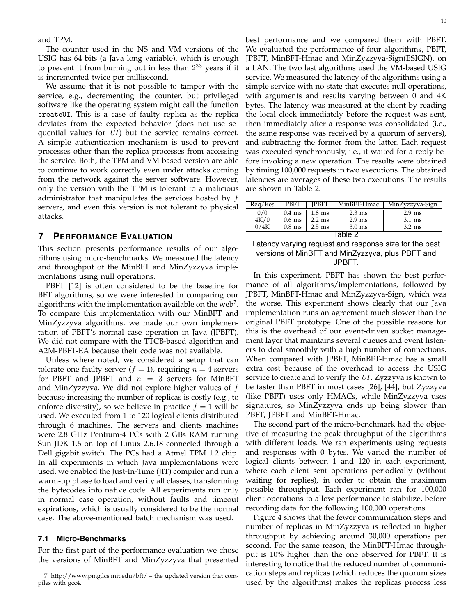and TPM.

The counter used in the NS and VM versions of the USIG has 64 bits (a Java long variable), which is enough to prevent it from burning out in less than  $2^{33}$  years if it is incremented twice per millisecond.

We assume that it is not possible to tamper with the service, e.g., decrementing the counter, but privileged software like the operating system might call the function createUI. This is a case of faulty replica as the replica deviates from the expected behavior (does not use sequential values for UI) but the service remains correct. A simple authentication mechanism is used to prevent processes other than the replica processes from accessing the service. Both, the TPM and VM-based version are able to continue to work correctly even under attacks coming from the network against the server software. However, only the version with the TPM is tolerant to a malicious administrator that manipulates the services hosted by  $f$ servers, and even this version is not tolerant to physical attacks.

#### **7 PERFORMANCE EVALUATION**

This section presents performance results of our algorithms using micro-benchmarks. We measured the latency and throughput of the MinBFT and MinZyzzyva implementations using null operations.

PBFT [12] is often considered to be the baseline for BFT algorithms, so we were interested in comparing our algorithms with the implementation available on the web<sup>7</sup>. To compare this implementation with our MinBFT and MinZyzzyva algorithms, we made our own implementation of PBFT's normal case operation in Java (JPBFT). We did not compare with the TTCB-based algorithm and A2M-PBFT-EA because their code was not available.

Unless where noted, we considered a setup that can tolerate one faulty server  $(f = 1)$ , requiring  $n = 4$  servers for PBFT and JPBFT and  $n = 3$  servers for MinBFT and MinZyzzyva. We did not explore higher values of  $f$ because increasing the number of replicas is costly (e.g., to enforce diversity), so we believe in practice  $f = 1$  will be used. We executed from 1 to 120 logical clients distributed through 6 machines. The servers and clients machines were 2.8 GHz Pentium-4 PCs with 2 GBs RAM running Sun JDK 1.6 on top of Linux 2.6.18 connected through a Dell gigabit switch. The PCs had a Atmel TPM 1.2 chip. In all experiments in which Java implementations were used, we enabled the Just-In-Time (JIT) compiler and run a warm-up phase to load and verify all classes, transforming the bytecodes into native code. All experiments run only in normal case operation, without faults and timeout expirations, which is usually considered to be the normal case. The above-mentioned batch mechanism was used.

#### **7.1 Micro-Benchmarks**

For the first part of the performance evaluation we chose the versions of MinBFT and MinZyzzyva that presented

best performance and we compared them with PBFT. We evaluated the performance of four algorithms, PBFT, JPBFT, MinBFT-Hmac and MinZyzzyva-Sign(ESIGN), on a LAN. The two last algorithms used the VM-based USIG service. We measured the latency of the algorithms using a simple service with no state that executes null operations, with arguments and results varying between 0 and 4K bytes. The latency was measured at the client by reading the local clock immediately before the request was sent, then immediately after a response was consolidated (i.e., the same response was received by a quorum of servers), and subtracting the former from the latter. Each request was executed synchronously, i.e., it waited for a reply before invoking a new operation. The results were obtained by timing 100,000 requests in two executions. The obtained latencies are averages of these two executions. The results are shown in Table 2.

| Req/Res  | <b>PBFT</b> | <b>IPBFT</b>     | MinBFT-Hmac      | MinZyzzyva-Sign  |
|----------|-------------|------------------|------------------|------------------|
| 0/0      | $0.4$ ms    | $1.8 \text{ ms}$ | $2.3 \text{ ms}$ | $2.9$ ms         |
| 4K/0     | $0.6$ ms    | $2.2 \text{ ms}$ | $2.9$ ms         | $3.1 \text{ ms}$ |
| 0/4K     | $0.8$ ms    | $2.5 \text{ ms}$ | $3.0$ ms         | $3.2 \text{ ms}$ |
| Table 2. |             |                  |                  |                  |

Latency varying request and response size for the best versions of MinBFT and MinZyzzyva, plus PBFT and JPBFT.

In this experiment, PBFT has shown the best performance of all algorithms/implementations, followed by JPBFT, MinBFT-Hmac and MinZyzzyva-Sign, which was the worse. This experiment shows clearly that our Java implementation runs an agreement much slower than the original PBFT prototype. One of the possible reasons for this is the overhead of our event-driven socket management layer that maintains several queues and event listeners to deal smoothly with a high number of connections. When compared with JPBFT, MinBFT-Hmac has a small extra cost because of the overhead to access the USIG service to create and to verify the UI. Zyzzyva is known to be faster than PBFT in most cases [26], [44], but Zyzzyva (like PBFT) uses only HMACs, while MinZyzzyva uses signatures, so MinZyzzyva ends up being slower than PBFT, JPBFT and MinBFT-Hmac.

The second part of the micro-benchmark had the objective of measuring the peak throughput of the algorithms with different loads. We ran experiments using requests and responses with 0 bytes. We varied the number of logical clients between 1 and 120 in each experiment, where each client sent operations periodically (without waiting for replies), in order to obtain the maximum possible throughput. Each experiment ran for 100,000 client operations to allow performance to stabilize, before recording data for the following 100,000 operations.

Figure 4 shows that the fewer communication steps and number of replicas in MinZyzzyva is reflected in higher throughput by achieving around 30,000 operations per second. For the same reason, the MinBFT-Hmac throughput is 10% higher than the one observed for PBFT. It is interesting to notice that the reduced number of communication steps and replicas (which reduces the quorum sizes used by the algorithms) makes the replicas process less

<sup>7.</sup> http://www.pmg.lcs.mit.edu/bft/ – the updated version that compiles with gcc4.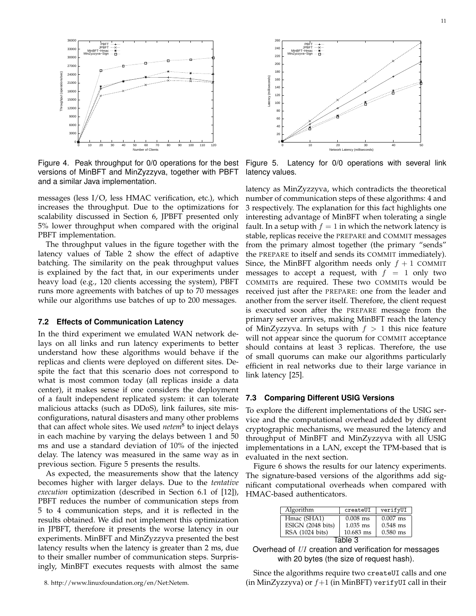

Figure 4. Peak throughput for 0/0 operations for the best versions of MinBFT and MinZyzzyva, together with PBFT and a similar Java implementation.

messages (less I/O, less HMAC verification, etc.), which increases the throughput. Due to the optimizations for scalability discussed in Section 6, JPBFT presented only 5% lower throughput when compared with the original PBFT implementation.

The throughput values in the figure together with the latency values of Table 2 show the effect of adaptive batching. The similarity on the peak throughput values is explained by the fact that, in our experiments under heavy load (e.g., 120 clients accessing the system), PBFT runs more agreements with batches of up to 70 messages while our algorithms use batches of up to 200 messages.

#### **7.2 Effects of Communication Latency**

In the third experiment we emulated WAN network delays on all links and run latency experiments to better understand how these algorithms would behave if the replicas and clients were deployed on different sites. Despite the fact that this scenario does not correspond to what is most common today (all replicas inside a data center), it makes sense if one considers the deployment of a fault independent replicated system: it can tolerate malicious attacks (such as DDoS), link failures, site misconfigurations, natural disasters and many other problems that can affect whole sites. We used *netem*<sup>8</sup> to inject delays in each machine by varying the delays between 1 and 50 ms and use a standard deviation of 10% of the injected delay. The latency was measured in the same way as in previous section. Figure 5 presents the results.

As expected, the measurements show that the latency becomes higher with larger delays. Due to the *tentative execution* optimization (described in Section 6.1 of [12]), PBFT reduces the number of communication steps from 5 to 4 communication steps, and it is reflected in the results obtained. We did not implement this optimization in JPBFT, therefore it presents the worse latency in our experiments. MinBFT and MinZyzzyva presented the best latency results when the latency is greater than 2 ms, due to their smaller number of communication steps. Surprisingly, MinBFT executes requests with almost the same



Figure 5. Latency for 0/0 operations with several link latency values.

latency as MinZyzzyva, which contradicts the theoretical number of communication steps of these algorithms: 4 and 3 respectively. The explanation for this fact highlights one interesting advantage of MinBFT when tolerating a single fault. In a setup with  $f = 1$  in which the network latency is stable, replicas receive the PREPARE and COMMIT messages from the primary almost together (the primary "sends" the PREPARE to itself and sends its COMMIT immediately). Since, the MinBFT algorithm needs only  $f + 1$  COMMIT messages to accept a request, with  $f = 1$  only two COMMITs are required. These two COMMITs would be received just after the PREPARE: one from the leader and another from the server itself. Therefore, the client request is executed soon after the PREPARE message from the primary server arrives, making MinBFT reach the latency of MinZyzzyva. In setups with  $f > 1$  this nice feature will not appear since the quorum for COMMIT acceptance should contains at least 3 replicas. Therefore, the use of small quorums can make our algorithms particularly efficient in real networks due to their large variance in link latency [25].

#### **7.3 Comparing Different USIG Versions**

To explore the different implementations of the USIG service and the computational overhead added by different cryptographic mechanisms, we measured the latency and throughput of MinBFT and MinZyzzyva with all USIG implementations in a LAN, except the TPM-based that is evaluated in the next section.

Figure 6 shows the results for our latency experiments. The signature-based versions of the algorithms add significant computational overheads when compared with HMAC-based authenticators.

| Algorithm         | createUI    | verifyUI   |  |  |
|-------------------|-------------|------------|--|--|
| Hmac (SHA1)       | $0.008$ ms  | $0.007$ ms |  |  |
| ESIGN (2048 bits) | $1.035$ ms  | $0.548$ ms |  |  |
| RSA (1024 bits)   | $10.683$ ms | $0.580$ ms |  |  |
| Table 3           |             |            |  |  |

Overhead of UI creation and verification for messages with 20 bytes (the size of request hash).

Since the algorithms require two createUI calls and one (in MinZyzzyva) or  $f+1$  (in MinBFT) verifyUI call in their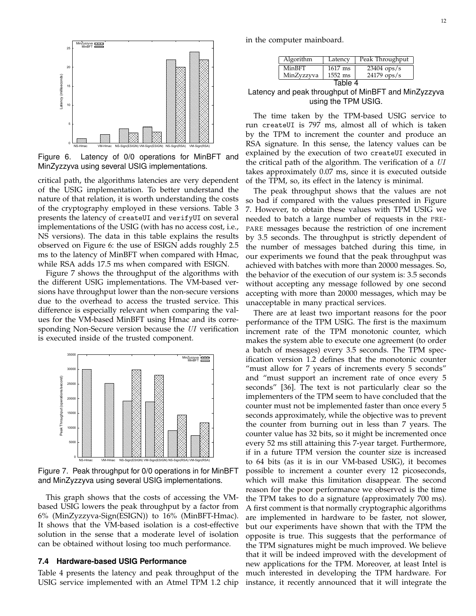

Figure 6. Latency of 0/0 operations for MinBFT and MinZyzzyva using several USIG implementations.

critical path, the algorithms latencies are very dependent of the USIG implementation. To better understand the nature of that relation, it is worth understanding the costs of the cryptography employed in these versions. Table 3 presents the latency of createUI and verifyUI on several implementations of the USIG (with has no access cost, i.e., NS versions). The data in this table explains the results observed on Figure 6: the use of ESIGN adds roughly 2.5 ms to the latency of MinBFT when compared with Hmac, while RSA adds 17.5 ms when compared with ESIGN.

Figure 7 shows the throughput of the algorithms with the different USIG implementations. The VM-based versions have throughput lower than the non-secure versions due to the overhead to access the trusted service. This difference is especially relevant when comparing the values for the VM-based MinBFT using Hmac and its corresponding Non-Secure version because the UI verification is executed inside of the trusted component.



Figure 7. Peak throughput for 0/0 operations in for MinBFT and MinZyzzyva using several USIG implementations.

This graph shows that the costs of accessing the VMbased USIG lowers the peak throughput by a factor from 6% (MinZyzzyva-Sign(ESIGN)) to 16% (MinBFT-Hmac). It shows that the VM-based isolation is a cost-effective solution in the sense that a moderate level of isolation can be obtained without losing too much performance.

## **7.4 Hardware-based USIG Performance**

Table 4 presents the latency and peak throughput of the USIG service implemented with an Atmel TPM 1.2 chip in the computer mainboard.

| Algorithm            | Latency                | Peak Throughput                |  |  |  |
|----------------------|------------------------|--------------------------------|--|--|--|
| MinBFT<br>MinZyzzyva | $1617$ ms<br>$1552$ ms | $23404$ ops/s<br>$24179$ ops/s |  |  |  |
| Table 4              |                        |                                |  |  |  |

Latency and peak throughput of MinBFT and MinZyzzyva using the TPM USIG.

The time taken by the TPM-based USIG service to run createUI is 797 ms, almost all of which is taken by the TPM to increment the counter and produce an RSA signature. In this sense, the latency values can be explained by the execution of two createUI executed in the critical path of the algorithm. The verification of a UI takes approximately 0.07 ms, since it is executed outside of the TPM, so, its effect in the latency is minimal.

The peak throughput shows that the values are not so bad if compared with the values presented in Figure 7. However, to obtain these values with TPM USIG we needed to batch a large number of requests in the PRE-PARE messages because the restriction of one increment by 3.5 seconds. The throughput is strictly dependent of the number of messages batched during this time, in our experiments we found that the peak throughput was achieved with batches with more than 20000 messages. So, the behavior of the execution of our system is: 3.5 seconds without accepting any message followed by one second accepting with more than 20000 messages, which may be unacceptable in many practical services.

There are at least two important reasons for the poor performance of the TPM USIG. The first is the maximum increment rate of the TPM monotonic counter, which makes the system able to execute one agreement (to order a batch of messages) every 3.5 seconds. The TPM specification version 1.2 defines that the monotonic counter "must allow for 7 years of increments every 5 seconds" and "must support an increment rate of once every 5 seconds" [36]. The text is not particularly clear so the implementers of the TPM seem to have concluded that the counter must not be implemented faster than once every 5 seconds approximately, while the objective was to prevent the counter from burning out in less than 7 years. The counter value has 32 bits, so it might be incremented once every 52 ms still attaining this 7-year target. Furthermore, if in a future TPM version the counter size is increased to 64 bits (as it is in our VM-based USIG), it becomes possible to increment a counter every 12 picoseconds, which will make this limitation disappear. The second reason for the poor performance we observed is the time the TPM takes to do a signature (approximately 700 ms). A first comment is that normally cryptographic algorithms are implemented in hardware to be faster, not slower, but our experiments have shown that with the TPM the opposite is true. This suggests that the performance of the TPM signatures might be much improved. We believe that it will be indeed improved with the development of new applications for the TPM. Moreover, at least Intel is much interested in developing the TPM hardware. For instance, it recently announced that it will integrate the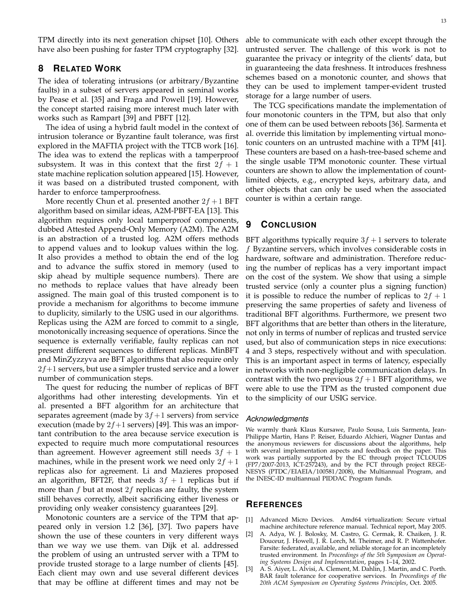TPM directly into its next generation chipset [10]. Others have also been pushing for faster TPM cryptography [32].

# **8 RELATED WORK**

The idea of tolerating intrusions (or arbitrary/Byzantine faults) in a subset of servers appeared in seminal works by Pease et al. [35] and Fraga and Powell [19]. However, the concept started raising more interest much later with works such as Rampart [39] and PBFT [12].

The idea of using a hybrid fault model in the context of intrusion tolerance or Byzantine fault tolerance, was first explored in the MAFTIA project with the TTCB work [16]. The idea was to extend the replicas with a tamperproof subsystem. It was in this context that the first  $2f + 1$ state machine replication solution appeared [15]. However, it was based on a distributed trusted component, with harder to enforce tamperproofness.

More recently Chun et al. presented another  $2f + 1$  BFT algorithm based on similar ideas, A2M-PBFT-EA [13]. This algorithm requires only local tamperproof components, dubbed Attested Append-Only Memory (A2M). The A2M is an abstraction of a trusted log. A2M offers methods to append values and to lookup values within the log. It also provides a method to obtain the end of the log and to advance the suffix stored in memory (used to skip ahead by multiple sequence numbers). There are no methods to replace values that have already been assigned. The main goal of this trusted component is to provide a mechanism for algorithms to become immune to duplicity, similarly to the USIG used in our algorithms. Replicas using the A2M are forced to commit to a single, monotonically increasing sequence of operations. Since the sequence is externally verifiable, faulty replicas can not present different sequences to different replicas. MinBFT and MinZyzzyva are BFT algorithms that also require only  $2f+1$  servers, but use a simpler trusted service and a lower number of communication steps.

The quest for reducing the number of replicas of BFT algorithms had other interesting developments. Yin et al. presented a BFT algorithm for an architecture that separates agreement (made by  $3f+1$  servers) from service execution (made by  $2f+1$  servers) [49]. This was an important contribution to the area because service execution is expected to require much more computational resources than agreement. However agreement still needs  $3f + 1$ machines, while in the present work we need only  $2f + 1$ replicas also for agreement. Li and Mazieres proposed an algorithm, BFT2F, that needs  $3f + 1$  replicas but if more than  $f$  but at most  $2f$  replicas are faulty, the system still behaves correctly, albeit sacrificing either liveness or providing only weaker consistency guarantees [29].

Monotonic counters are a service of the TPM that appeared only in version 1.2 [36], [37]. Two papers have shown the use of these counters in very different ways than we way we use them. van Dijk et al. addressed the problem of using an untrusted server with a TPM to provide trusted storage to a large number of clients [45]. Each client may own and use several different devices that may be offline at different times and may not be

able to communicate with each other except through the untrusted server. The challenge of this work is not to guarantee the privacy or integrity of the clients' data, but in guaranteeing the data freshness. It introduces freshness schemes based on a monotonic counter, and shows that they can be used to implement tamper-evident trusted storage for a large number of users.

The TCG specifications mandate the implementation of four monotonic counters in the TPM, but also that only one of them can be used between reboots [36]. Sarmenta et al. override this limitation by implementing virtual monotonic counters on an untrusted machine with a TPM [41]. These counters are based on a hash-tree-based scheme and the single usable TPM monotonic counter. These virtual counters are shown to allow the implementation of countlimited objects, e.g., encrypted keys, arbitrary data, and other objects that can only be used when the associated counter is within a certain range.

# **9 CONCLUSION**

BFT algorithms typically require  $3f + 1$  servers to tolerate f Byzantine servers, which involves considerable costs in hardware, software and administration. Therefore reducing the number of replicas has a very important impact on the cost of the system. We show that using a simple trusted service (only a counter plus a signing function) it is possible to reduce the number of replicas to  $2f + 1$ preserving the same properties of safety and liveness of traditional BFT algorithms. Furthermore, we present two BFT algorithms that are better than others in the literature, not only in terms of number of replicas and trusted service used, but also of communication steps in nice executions: 4 and 3 steps, respectively without and with speculation. This is an important aspect in terms of latency, especially in networks with non-negligible communication delays. In contrast with the two previous  $2f + 1$  BFT algorithms, we were able to use the TPM as the trusted component due to the simplicity of our USIG service.

#### *Acknowledgments*

We warmly thank Klaus Kursawe, Paulo Sousa, Luis Sarmenta, Jean-Philippe Martin, Hans P. Reiser, Eduardo Alchieri, Wagner Dantas and the anonymous reviewers for discussions about the algorithms, help with several implementation aspects and feedback on the paper. This work was partially supported by the EC through project TCLOUDS (FP7/2007-2013, ICT-257243), and by the FCT through project REGE-NESYS (PTDC/EIAEIA/100581/2008), the Multiannual Program, and the INESC-ID multiannual PIDDAC Program funds.

## **REFERENCES**

- [1] Advanced Micro Devices. Amd64 virtualization: Secure virtual machine architecture reference manual. Technical report, May 2005.
- [2] A. Adya, W. J. Bolosky, M. Castro, G. Cermak, R. Chaiken, J. R. Douceur, J. Howell, J. R. Lorch, M. Theimer, and R. P. Wattenhofer. Farsite: federated, available, and reliable storage for an incompletely trusted environment. In *Proceedings of the 5th Symposium on Operating Systems Design and Implementation*, pages 1–14, 2002.
- [3] A. S. Aiyer, L. Alvisi, A. Clement, M. Dahlin, J. Martin, and C. Porth. BAR fault tolerance for cooperative services. In *Proceedings of the 20th ACM Symposium on Operating Systems Principles*, Oct. 2005.